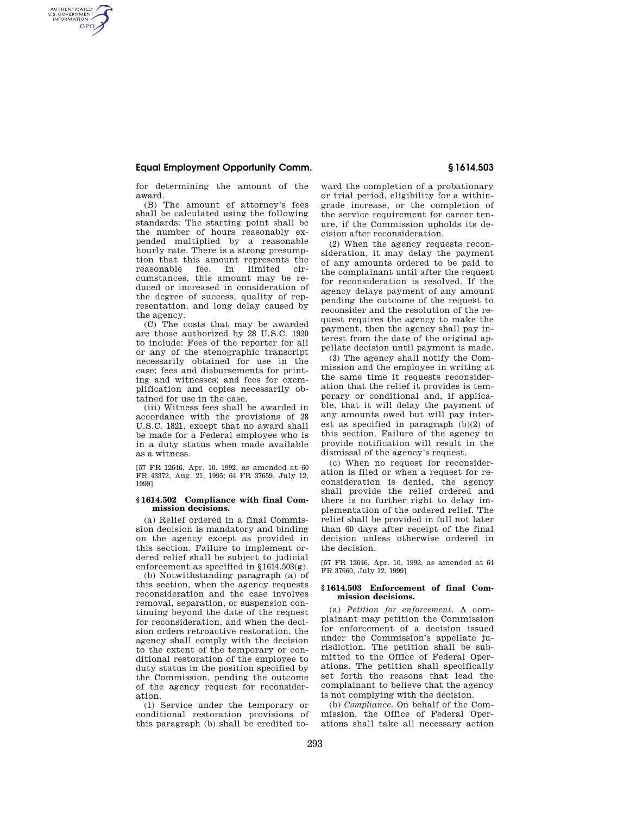# **Equal Employment Opportunity Comm. § 1614.503**

AUTHENTICATED<br>U.S. GOVERNMENT<br>INFORMATION **GPO** 

> for determining the amount of the award.

> (B) The amount of attorney's fees shall be calculated using the following standards: The starting point shall be the number of hours reasonably expended multiplied by a reasonable hourly rate. There is a strong presumption that this amount represents the reasonable fee. In limited circumstances, this amount may be reduced or increased in consideration of the degree of success, quality of representation, and long delay caused by the agency.

> (C) The costs that may be awarded are those authorized by 28 U.S.C. 1920 to include: Fees of the reporter for all or any of the stenographic transcript necessarily obtained for use in the case; fees and disbursements for printing and witnesses; and fees for exemplification and copies necessarily obtained for use in the case.

> (iii) Witness fees shall be awarded in accordance with the provisions of 28 U.S.C. 1821, except that no award shall be made for a Federal employee who is in a duty status when made available as a witness.

> [57 FR 12646, Apr. 10, 1992, as amended at 60 FR 43372, Aug. 21, 1995; 64 FR 37659, July 12, 1999]

### **§ 1614.502 Compliance with final Commission decisions.**

(a) Relief ordered in a final Commission decision is mandatory and binding on the agency except as provided in this section. Failure to implement ordered relief shall be subject to judicial enforcement as specified in §1614.503(g).

(b) Notwithstanding paragraph (a) of this section, when the agency requests reconsideration and the case involves removal, separation, or suspension continuing beyond the date of the request for reconsideration, and when the decision orders retroactive restoration, the agency shall comply with the decision to the extent of the temporary or conditional restoration of the employee to duty status in the position specified by the Commission, pending the outcome of the agency request for reconsideration.

(1) Service under the temporary or conditional restoration provisions of this paragraph (b) shall be credited toward the completion of a probationary or trial period, eligibility for a withingrade increase, or the completion of the service requirement for career tenure, if the Commission upholds its decision after reconsideration.

(2) When the agency requests reconsideration, it may delay the payment of any amounts ordered to be paid to the complainant until after the request for reconsideration is resolved. If the agency delays payment of any amount pending the outcome of the request to reconsider and the resolution of the request requires the agency to make the payment, then the agency shall pay interest from the date of the original appellate decision until payment is made.

(3) The agency shall notify the Commission and the employee in writing at the same time it requests reconsideration that the relief it provides is temporary or conditional and, if applicable, that it will delay the payment of any amounts owed but will pay interest as specified in paragraph (b)(2) of this section. Failure of the agency to provide notification will result in the dismissal of the agency's request.

(c) When no request for reconsideration is filed or when a request for reconsideration is denied, the agency shall provide the relief ordered and there is no further right to delay implementation of the ordered relief. The relief shall be provided in full not later than 60 days after receipt of the final decision unless otherwise ordered in the decision.

[57 FR 12646, Apr. 10, 1992, as amended at 64 FR 37660, July 12, 1999]

#### **§ 1614.503 Enforcement of final Commission decisions.**

(a) *Petition for enforcement.* A complainant may petition the Commission for enforcement of a decision issued under the Commission's appellate jurisdiction. The petition shall be submitted to the Office of Federal Operations. The petition shall specifically set forth the reasons that lead the complainant to believe that the agency is not complying with the decision.

(b) *Compliance.* On behalf of the Commission, the Office of Federal Operations shall take all necessary action